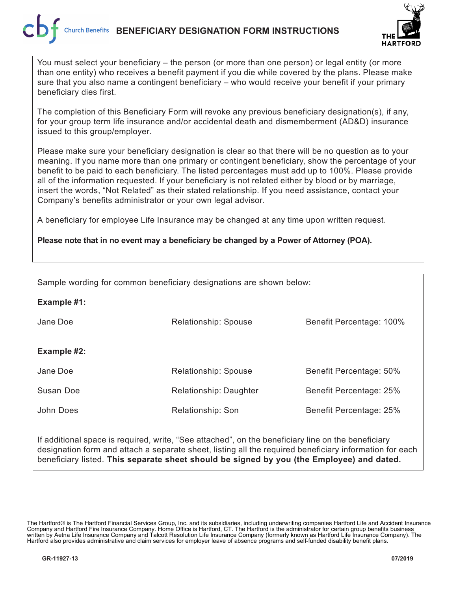

You must select your beneficiary – the person (or more than one person) or legal entity (or more than one entity) who receives a benefit payment if you die while covered by the plans. Please make sure that you also name a contingent beneficiary – who would receive your benefit if your primary beneficiary dies first.

The completion of this Beneficiary Form will revoke any previous beneficiary designation(s), if any, for your group term life insurance and/or accidental death and dismemberment (AD&D) insurance issued to this group/employer.

Please make sure your beneficiary designation is clear so that there will be no question as to your meaning. If you name more than one primary or contingent beneficiary, show the percentage of your benefit to be paid to each beneficiary. The listed percentages must add up to 100%. Please provide all of the information requested. If your beneficiary is not related either by blood or by marriage, insert the words, "Not Related" as their stated relationship. If you need assistance, contact your Company's benefits administrator or your own legal advisor.

A beneficiary for employee Life Insurance may be changed at any time upon written request.

**Please note that in no event may a beneficiary be changed by a Power of Attorney (POA).**

| Sample wording for common beneficiary designations are shown below: |                                              |                          |  |  |  |
|---------------------------------------------------------------------|----------------------------------------------|--------------------------|--|--|--|
| Example #1:                                                         |                                              |                          |  |  |  |
| Jane Doe                                                            | Relationship: Spouse                         | Benefit Percentage: 100% |  |  |  |
|                                                                     |                                              |                          |  |  |  |
| Example #2:                                                         |                                              |                          |  |  |  |
| Jane Doe                                                            | Relationship: Spouse                         | Benefit Percentage: 50%  |  |  |  |
| Susan Doe                                                           | Relationship: Daughter                       | Benefit Percentage: 25%  |  |  |  |
| John Does                                                           | Relationship: Son<br>Benefit Percentage: 25% |                          |  |  |  |
|                                                                     |                                              |                          |  |  |  |

If additional space is required, write, "See attached", on the beneficiary line on the beneficiary designation form and attach a separate sheet, listing all the required beneficiary information for each beneficiary listed. **This separate sheet should be signed by you (the Employee) and dated.**

The Hartford® is The Hartford Financial Services Group, Inc. and its subsidiaries, including underwriting companies Hartford Life and Accident Insurance Company and Hartford Fire Insurance Company. Home Office is Hartford, CT. The Hartford is the administrator for certain group benefits business written by Aetna Life Insurance Company and Talcott Resolution Life Insurance Company (formerly known as Hartford Life Insurance Company). The Hartford also provides administrative and claim services for employer leave of absence programs and self-funded disability benefit plans.